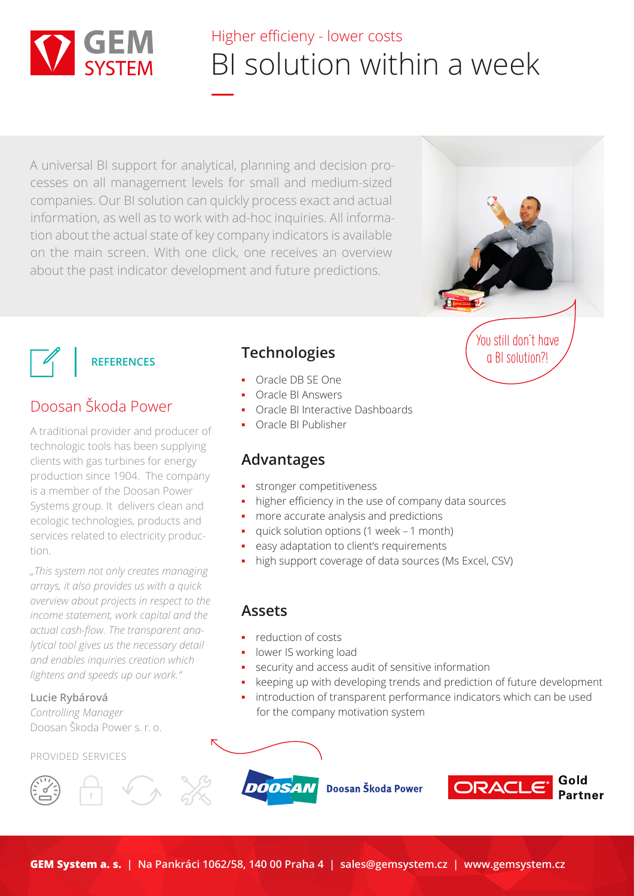

# Higher efficieny - lower costs BI solution within a week

A universal BI support for analytical, planning and decision processes on all management levels for small and medium-sized companies. Our BI solution can quickly process exact and actual information, as well as to work with ad-hoc inquiries. All information about the actual state of key company indicators is available on the main screen. With one click, one receives an overview about the past indicator development and future predictions.





## Doosan Škoda Power

A traditional provider and producer of technologic tools has been supplying clients with gas turbines for energy production since 1904. The company is a member of the Doosan Power Systems group. It delivers clean and ecologic technologies, products and services related to electricity production.

*"This system not only creates managing arrays, it also provides us with a quick overview about projects in respect to the income statement, work capital and the actual cash-flow. The transparent analytical tool gives us the necessary detail and enables inquiries creation which lightens and speeds up our work."*

#### **Lucie Rybárová**

*Controlling Manager* Doosan Škoda Power s. r. o.

#### PROVIDED SERVICES





### **Technologies**

- Oracle DB SE One
- Oracle BI Answers
- **Oracle BI Interactive Dashboards**
- Oracle BI Publisher

### **Advantages**

- stronger competitiveness
- higher efficiency in the use of company data sources
- more accurate analysis and predictions
- quick solution options (1 week 1 month)
- easy adaptation to client's requirements
- high support coverage of data sources (Ms Excel, CSV)

#### **Assets**

- reduction of costs
- lower IS working load
- security and access audit of sensitive information
- keeping up with developing trends and prediction of future development
- introduction of transparent performance indicators which can be used for the company motivation system